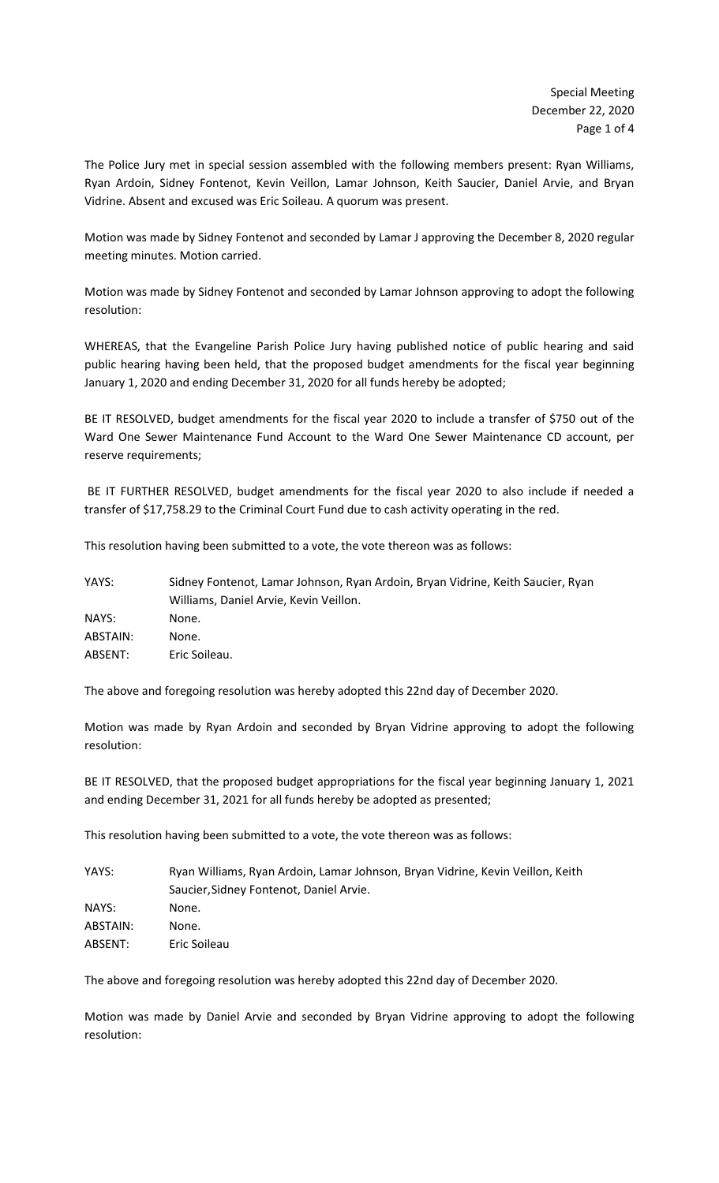The Police Jury met in special session assembled with the following members present: Ryan Williams, Ryan Ardoin, Sidney Fontenot, Kevin Veillon, Lamar Johnson, Keith Saucier, Daniel Arvie, and Bryan Vidrine. Absent and excused was Eric Soileau. A quorum was present.

Motion was made by Sidney Fontenot and seconded by Lamar J approving the December 8, 2020 regular meeting minutes. Motion carried.

Motion was made by Sidney Fontenot and seconded by Lamar Johnson approving to adopt the following resolution:

WHEREAS, that the Evangeline Parish Police Jury having published notice of public hearing and said public hearing having been held, that the proposed budget amendments for the fiscal year beginning January 1, 2020 and ending December 31, 2020 for all funds hereby be adopted;

BE IT RESOLVED, budget amendments for the fiscal year 2020 to include a transfer of \$750 out of the Ward One Sewer Maintenance Fund Account to the Ward One Sewer Maintenance CD account, per reserve requirements;

BE IT FURTHER RESOLVED, budget amendments for the fiscal year 2020 to also include if needed a transfer of \$17,758.29 to the Criminal Court Fund due to cash activity operating in the red.

This resolution having been submitted to a vote, the vote thereon was as follows:

| YAYS:    | Sidney Fontenot, Lamar Johnson, Ryan Ardoin, Bryan Vidrine, Keith Saucier, Ryan |  |
|----------|---------------------------------------------------------------------------------|--|
|          | Williams, Daniel Arvie, Kevin Veillon.                                          |  |
| NAYS:    | None.                                                                           |  |
| ABSTAIN: | None.                                                                           |  |
| ABSENT:  | Eric Soileau.                                                                   |  |

The above and foregoing resolution was hereby adopted this 22nd day of December 2020.

Motion was made by Ryan Ardoin and seconded by Bryan Vidrine approving to adopt the following resolution:

BE IT RESOLVED, that the proposed budget appropriations for the fiscal year beginning January 1, 2021 and ending December 31, 2021 for all funds hereby be adopted as presented;

This resolution having been submitted to a vote, the vote thereon was as follows:

| Ryan Williams, Ryan Ardoin, Lamar Johnson, Bryan Vidrine, Kevin Veillon, Keith |  |
|--------------------------------------------------------------------------------|--|
| Saucier, Sidney Fontenot, Daniel Arvie.                                        |  |
| None.                                                                          |  |
| None.                                                                          |  |
| Eric Soileau                                                                   |  |
|                                                                                |  |

The above and foregoing resolution was hereby adopted this 22nd day of December 2020.

Motion was made by Daniel Arvie and seconded by Bryan Vidrine approving to adopt the following resolution: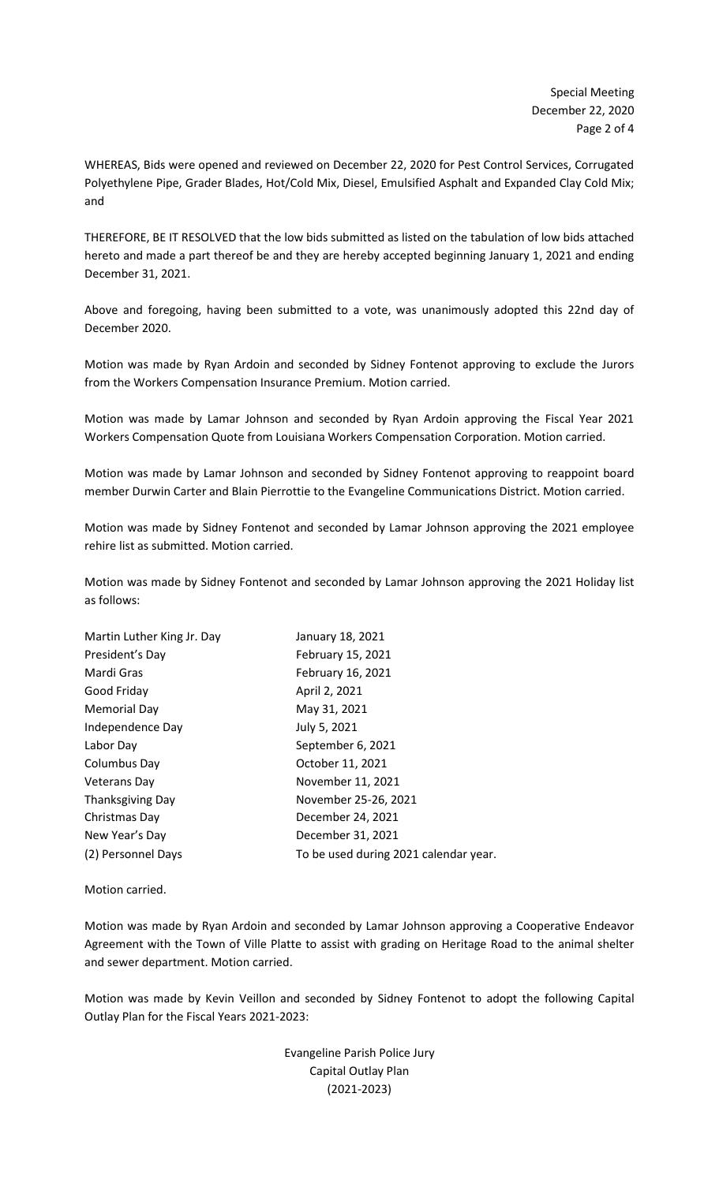WHEREAS, Bids were opened and reviewed on December 22, 2020 for Pest Control Services, Corrugated Polyethylene Pipe, Grader Blades, Hot/Cold Mix, Diesel, Emulsified Asphalt and Expanded Clay Cold Mix; and

THEREFORE, BE IT RESOLVED that the low bids submitted as listed on the tabulation of low bids attached hereto and made a part thereof be and they are hereby accepted beginning January 1, 2021 and ending December 31, 2021.

Above and foregoing, having been submitted to a vote, was unanimously adopted this 22nd day of December 2020.

Motion was made by Ryan Ardoin and seconded by Sidney Fontenot approving to exclude the Jurors from the Workers Compensation Insurance Premium. Motion carried.

Motion was made by Lamar Johnson and seconded by Ryan Ardoin approving the Fiscal Year 2021 Workers Compensation Quote from Louisiana Workers Compensation Corporation. Motion carried.

Motion was made by Lamar Johnson and seconded by Sidney Fontenot approving to reappoint board member Durwin Carter and Blain Pierrottie to the Evangeline Communications District. Motion carried.

Motion was made by Sidney Fontenot and seconded by Lamar Johnson approving the 2021 employee rehire list as submitted. Motion carried.

Motion was made by Sidney Fontenot and seconded by Lamar Johnson approving the 2021 Holiday list as follows:

| Martin Luther King Jr. Day | January 18, 2021                      |
|----------------------------|---------------------------------------|
| President's Day            | February 15, 2021                     |
| Mardi Gras                 | February 16, 2021                     |
| Good Friday                | April 2, 2021                         |
| <b>Memorial Day</b>        | May 31, 2021                          |
| Independence Day           | July 5, 2021                          |
| Labor Day                  | September 6, 2021                     |
| Columbus Day               | October 11, 2021                      |
| Veterans Day               | November 11, 2021                     |
| <b>Thanksgiving Day</b>    | November 25-26, 2021                  |
| Christmas Day              | December 24, 2021                     |
| New Year's Day             | December 31, 2021                     |
| (2) Personnel Days         | To be used during 2021 calendar year. |
|                            |                                       |

Motion carried.

Motion was made by Ryan Ardoin and seconded by Lamar Johnson approving a Cooperative Endeavor Agreement with the Town of Ville Platte to assist with grading on Heritage Road to the animal shelter and sewer department. Motion carried.

Motion was made by Kevin Veillon and seconded by Sidney Fontenot to adopt the following Capital Outlay Plan for the Fiscal Years 2021-2023:

> Evangeline Parish Police Jury Capital Outlay Plan (2021-2023)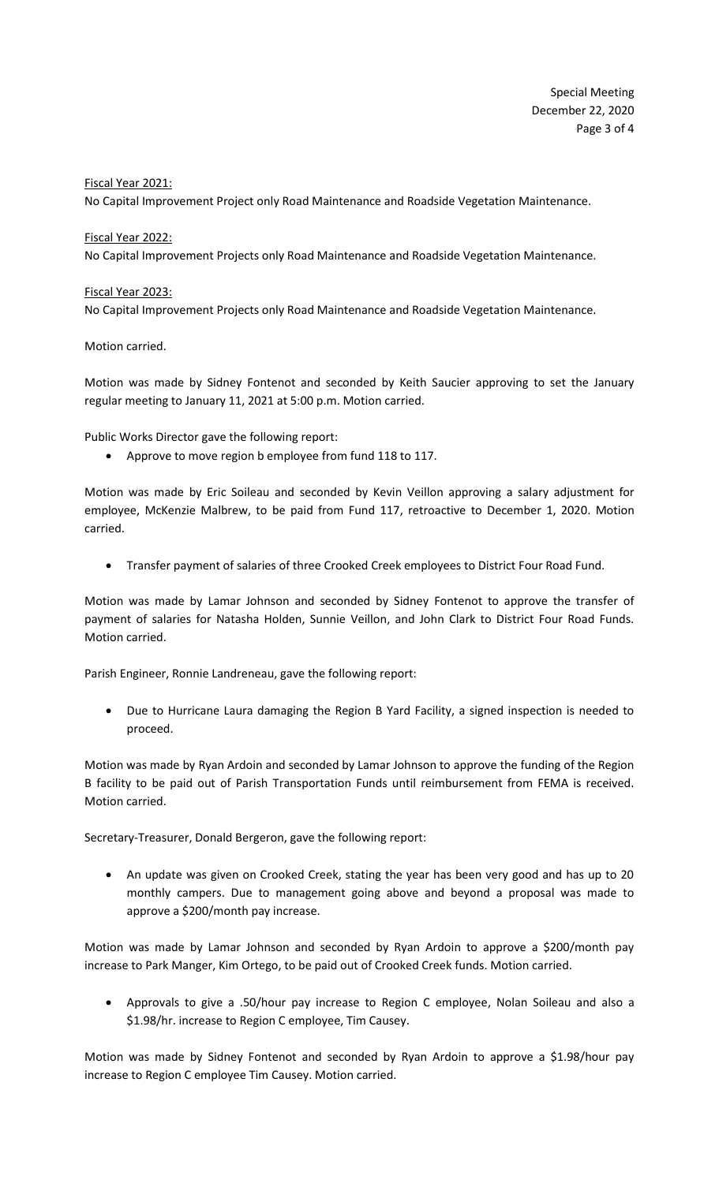## Fiscal Year 2021:

No Capital Improvement Project only Road Maintenance and Roadside Vegetation Maintenance.

## Fiscal Year 2022:

No Capital Improvement Projects only Road Maintenance and Roadside Vegetation Maintenance.

## Fiscal Year 2023:

No Capital Improvement Projects only Road Maintenance and Roadside Vegetation Maintenance.

## Motion carried.

Motion was made by Sidney Fontenot and seconded by Keith Saucier approving to set the January regular meeting to January 11, 2021 at 5:00 p.m. Motion carried.

Public Works Director gave the following report:

• Approve to move region b employee from fund 118 to 117.

Motion was made by Eric Soileau and seconded by Kevin Veillon approving a salary adjustment for employee, McKenzie Malbrew, to be paid from Fund 117, retroactive to December 1, 2020. Motion carried.

• Transfer payment of salaries of three Crooked Creek employees to District Four Road Fund.

Motion was made by Lamar Johnson and seconded by Sidney Fontenot to approve the transfer of payment of salaries for Natasha Holden, Sunnie Veillon, and John Clark to District Four Road Funds. Motion carried.

Parish Engineer, Ronnie Landreneau, gave the following report:

• Due to Hurricane Laura damaging the Region B Yard Facility, a signed inspection is needed to proceed.

Motion was made by Ryan Ardoin and seconded by Lamar Johnson to approve the funding of the Region B facility to be paid out of Parish Transportation Funds until reimbursement from FEMA is received. Motion carried.

Secretary-Treasurer, Donald Bergeron, gave the following report:

• An update was given on Crooked Creek, stating the year has been very good and has up to 20 monthly campers. Due to management going above and beyond a proposal was made to approve a \$200/month pay increase.

Motion was made by Lamar Johnson and seconded by Ryan Ardoin to approve a \$200/month pay increase to Park Manger, Kim Ortego, to be paid out of Crooked Creek funds. Motion carried.

• Approvals to give a .50/hour pay increase to Region C employee, Nolan Soileau and also a \$1.98/hr. increase to Region C employee, Tim Causey.

Motion was made by Sidney Fontenot and seconded by Ryan Ardoin to approve a \$1.98/hour pay increase to Region C employee Tim Causey. Motion carried.